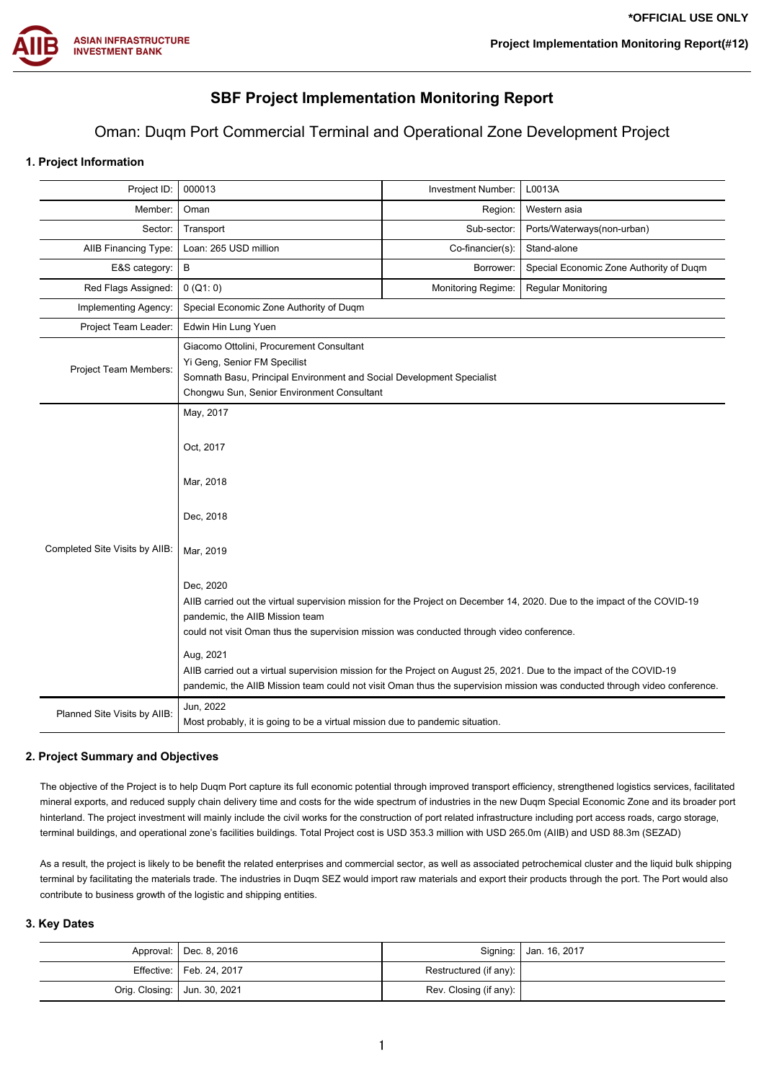

# **SBF Project Implementation Monitoring Report**

# Oman: Duqm Port Commercial Terminal and Operational Zone Development Project

# **1. Project Information**

| Project ID:                    | 000013                                                                                                                                                                                                                                                                                                                                                                                                                                                                                                                                                                                                   | Investment Number:        | L0013A                                  |
|--------------------------------|----------------------------------------------------------------------------------------------------------------------------------------------------------------------------------------------------------------------------------------------------------------------------------------------------------------------------------------------------------------------------------------------------------------------------------------------------------------------------------------------------------------------------------------------------------------------------------------------------------|---------------------------|-----------------------------------------|
| Member:                        | Oman                                                                                                                                                                                                                                                                                                                                                                                                                                                                                                                                                                                                     | Region:                   | Western asia                            |
| Sector:                        | Transport                                                                                                                                                                                                                                                                                                                                                                                                                                                                                                                                                                                                | Sub-sector:               | Ports/Waterways(non-urban)              |
| AIIB Financing Type:           | Loan: 265 USD million                                                                                                                                                                                                                                                                                                                                                                                                                                                                                                                                                                                    | Co-financier(s):          | Stand-alone                             |
| E&S category:                  | В                                                                                                                                                                                                                                                                                                                                                                                                                                                                                                                                                                                                        | Borrower:                 | Special Economic Zone Authority of Duqm |
| Red Flags Assigned:            | 0 (Q1: 0)                                                                                                                                                                                                                                                                                                                                                                                                                                                                                                                                                                                                | <b>Monitoring Regime:</b> | <b>Regular Monitoring</b>               |
| Implementing Agency:           | Special Economic Zone Authority of Duqm                                                                                                                                                                                                                                                                                                                                                                                                                                                                                                                                                                  |                           |                                         |
| Project Team Leader:           | Edwin Hin Lung Yuen                                                                                                                                                                                                                                                                                                                                                                                                                                                                                                                                                                                      |                           |                                         |
| Project Team Members:          | Giacomo Ottolini, Procurement Consultant<br>Yi Geng, Senior FM Specilist<br>Somnath Basu, Principal Environment and Social Development Specialist<br>Chongwu Sun, Senior Environment Consultant                                                                                                                                                                                                                                                                                                                                                                                                          |                           |                                         |
| Completed Site Visits by AIIB: | May, 2017<br>Oct, 2017<br>Mar, 2018<br>Dec, 2018<br>Mar, 2019<br>Dec, 2020<br>AllB carried out the virtual supervision mission for the Project on December 14, 2020. Due to the impact of the COVID-19<br>pandemic, the AIIB Mission team<br>could not visit Oman thus the supervision mission was conducted through video conference.<br>Aug, 2021<br>AllB carried out a virtual supervision mission for the Project on August 25, 2021. Due to the impact of the COVID-19<br>pandemic, the AIIB Mission team could not visit Oman thus the supervision mission was conducted through video conference. |                           |                                         |
| Planned Site Visits by AIIB:   | Jun, 2022<br>Most probably, it is going to be a virtual mission due to pandemic situation.                                                                                                                                                                                                                                                                                                                                                                                                                                                                                                               |                           |                                         |

# **2. Project Summary and Objectives**

The objective of the Project is to help Duqm Port capture its full economic potential through improved transport efficiency, strengthened logistics services, facilitated mineral exports, and reduced supply chain delivery time and costs for the wide spectrum of industries in the new Duqm Special Economic Zone and its broader port hinterland. The project investment will mainly include the civil works for the construction of port related infrastructure including port access roads, cargo storage, terminal buildings, and operational zone's facilities buildings. Total Project cost is USD 353.3 million with USD 265.0m (AIIB) and USD 88.3m (SEZAD)

As a result, the project is likely to be benefit the related enterprises and commercial sector, as well as associated petrochemical cluster and the liquid bulk shipping terminal by facilitating the materials trade. The industries in Duqm SEZ would import raw materials and export their products through the port. The Port would also contribute to business growth of the logistic and shipping entities.

### **3. Key Dates**

|                                | Approval:   Dec. 8, 2016   |                        | Signing:   Jan. 16, 2017 |
|--------------------------------|----------------------------|------------------------|--------------------------|
|                                | Effective:   Feb. 24, 2017 | Restructured (if any): |                          |
| Orig. Closing:   Jun. 30, 2021 |                            | Rev. Closing (if any): |                          |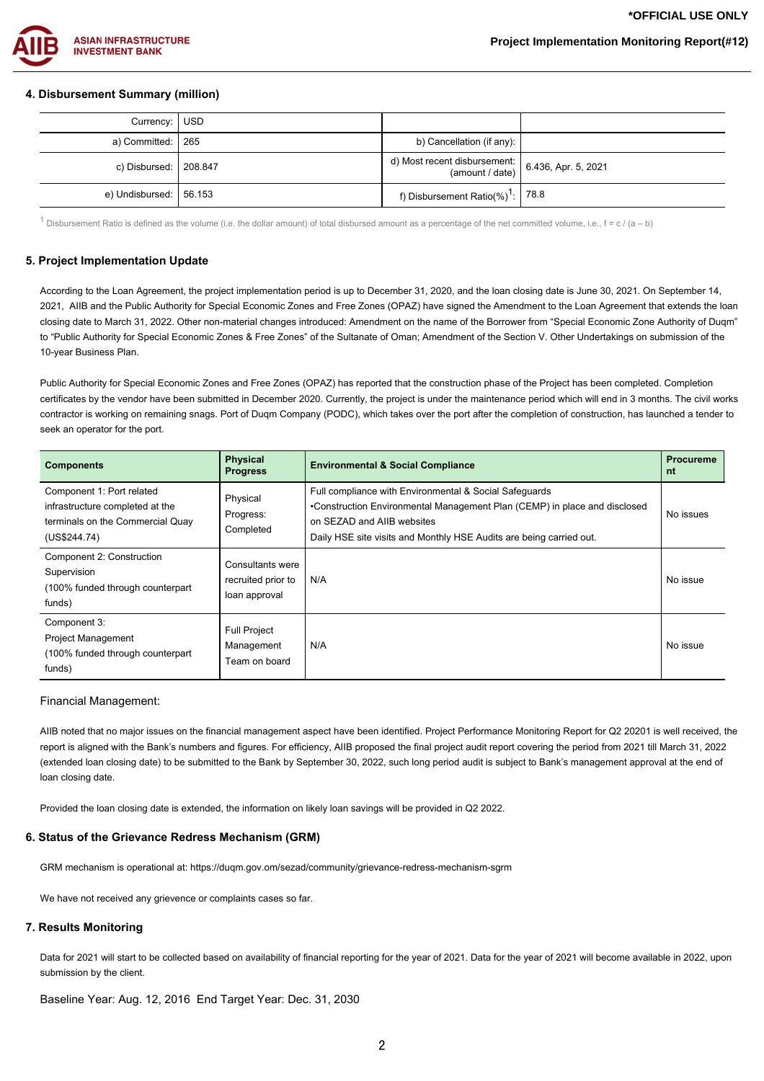

# **4. Disbursement Summary (million)**

| Currency: USD                  |                                                                                  |  |
|--------------------------------|----------------------------------------------------------------------------------|--|
| a) Committed: $\vert$ 265      | b) Cancellation (if any):                                                        |  |
| c) Disbursed:   208.847        | d) Most recent disbursement: $\begin{bmatrix} 6.436, Apr. 5, 2021 \end{bmatrix}$ |  |
| e) Undisbursed: $\vert$ 56.153 | f) Disbursement Ratio(%) <sup>1</sup> : 78.8                                     |  |

1 Disbursement Ratio is defined as the volume (i.e. the dollar amount) of total disbursed amount as a percentage of the net committed volume, i.e.,  $f = c / (a - b)$ 

#### **5. Project Implementation Update**

According to the Loan Agreement, the project implementation period is up to December 31, 2020, and the loan closing date is June 30, 2021. On September 14, 2021, AIIB and the Public Authority for Special Economic Zones and Free Zones (OPAZ) have signed the Amendment to the Loan Agreement that extends the loan closing date to March 31, 2022. Other non-material changes introduced: Amendment on the name of the Borrower from "Special Economic Zone Authority of Duqm" to "Public Authority for Special Economic Zones & Free Zones" of the Sultanate of Oman; Amendment of the Section V. Other Undertakings on submission of the 10-year Business Plan.

Public Authority for Special Economic Zones and Free Zones (OPAZ) has reported that the construction phase of the Project has been completed. Completion certificates by the vendor have been submitted in December 2020. Currently, the project is under the maintenance period which will end in 3 months. The civil works contractor is working on remaining snags. Port of Duqm Company (PODC), which takes over the port after the completion of construction, has launched a tender to seek an operator for the port.

| <b>Components</b>                                                                                                | <b>Physical</b><br><b>Progress</b>                      | <b>Environmental &amp; Social Compliance</b>                                                                                                                                                                                             | <b>Procureme</b><br>nt |
|------------------------------------------------------------------------------------------------------------------|---------------------------------------------------------|------------------------------------------------------------------------------------------------------------------------------------------------------------------------------------------------------------------------------------------|------------------------|
| Component 1: Port related<br>infrastructure completed at the<br>terminals on the Commercial Quay<br>(US\$244.74) | Physical<br>Progress:<br>Completed                      | Full compliance with Environmental & Social Safeguards<br>•Construction Environmental Management Plan (CEMP) in place and disclosed<br>on SEZAD and AIIB websites<br>Daily HSE site visits and Monthly HSE Audits are being carried out. | No issues              |
| Component 2: Construction<br>Supervision<br>(100% funded through counterpart)<br>funds)                          | Consultants were<br>recruited prior to<br>loan approval | N/A                                                                                                                                                                                                                                      | No issue               |
| Component 3:<br><b>Project Management</b><br>(100% funded through counterpart<br>funds)                          | <b>Full Project</b><br>Management<br>Team on board      | N/A                                                                                                                                                                                                                                      | No issue               |

#### Financial Management:

AIIB noted that no major issues on the financial management aspect have been identified. Project Performance Monitoring Report for Q2 20201 is well received, the report is aligned with the Bank's numbers and figures. For efficiency, AIIB proposed the final project audit report covering the period from 2021 till March 31, 2022 (extended loan closing date) to be submitted to the Bank by September 30, 2022, such long period audit is subject to Bank's management approval at the end of loan closing date.

Provided the loan closing date is extended, the information on likely loan savings will be provided in Q2 2022.

#### **6. Status of the Grievance Redress Mechanism (GRM)**

GRM mechanism is operational at: https://duqm.gov.om/sezad/community/grievance-redress-mechanism-sgrm

We have not received any grievence or complaints cases so far.

#### **7. Results Monitoring**

Data for 2021 will start to be collected based on availability of financial reporting for the year of 2021. Data for the year of 2021 will become available in 2022, upon submission by the client.

Baseline Year: Aug. 12, 2016 End Target Year: Dec. 31, 2030